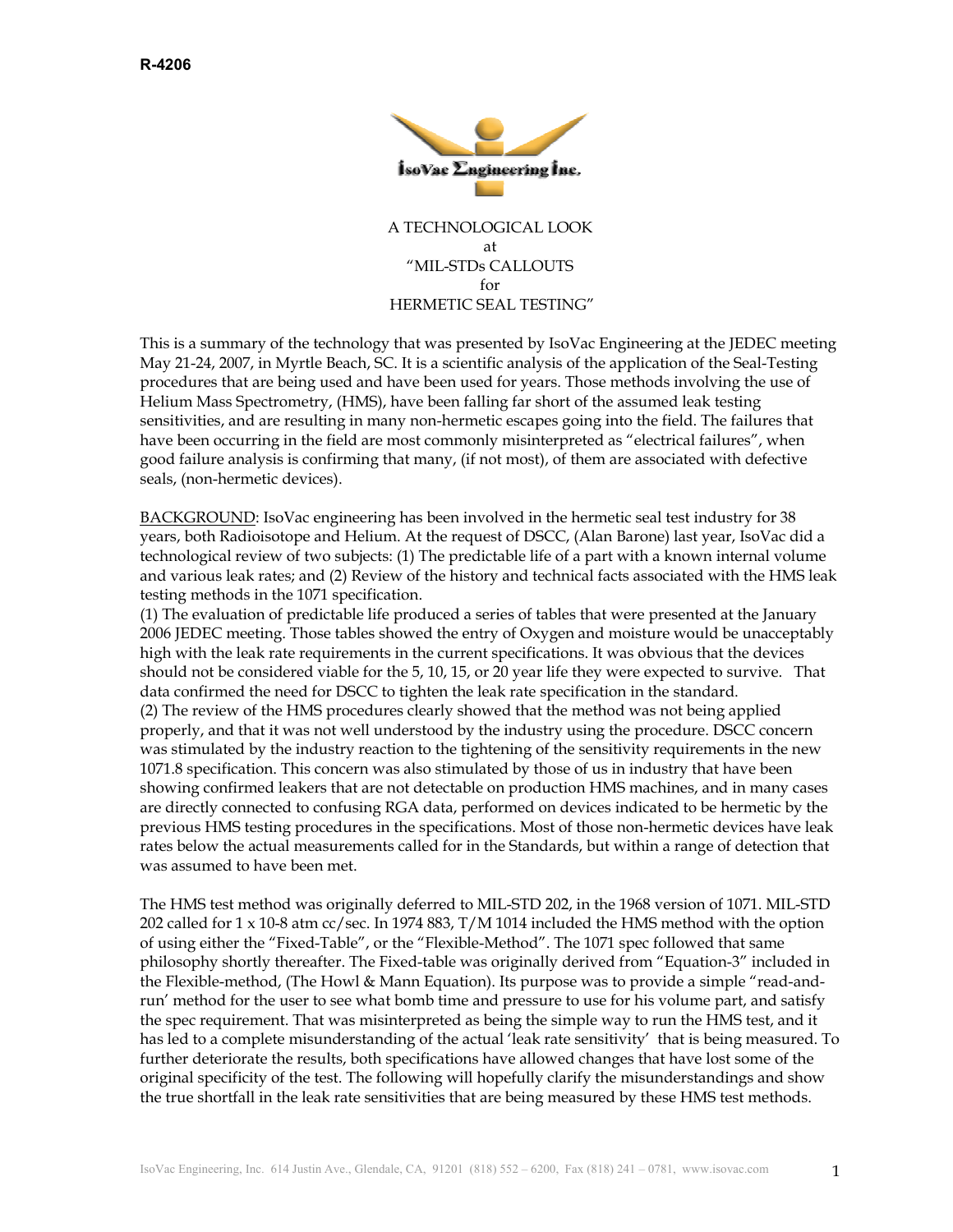

A TECHNOLOGICAL LOOK at "MIL-STDs CALLOUTS for HERMETIC SEAL TESTING"

This is a summary of the technology that was presented by IsoVac Engineering at the JEDEC meeting May 21-24, 2007, in Myrtle Beach, SC. It is a scientific analysis of the application of the Seal-Testing procedures that are being used and have been used for years. Those methods involving the use of Helium Mass Spectrometry, (HMS), have been falling far short of the assumed leak testing sensitivities, and are resulting in many non-hermetic escapes going into the field. The failures that have been occurring in the field are most commonly misinterpreted as "electrical failures", when good failure analysis is confirming that many, (if not most), of them are associated with defective seals, (non-hermetic devices).

BACKGROUND: IsoVac engineering has been involved in the hermetic seal test industry for 38 years, both Radioisotope and Helium. At the request of DSCC, (Alan Barone) last year, IsoVac did a technological review of two subjects: (1) The predictable life of a part with a known internal volume and various leak rates; and (2) Review of the history and technical facts associated with the HMS leak testing methods in the 1071 specification.

(1) The evaluation of predictable life produced a series of tables that were presented at the January 2006 JEDEC meeting. Those tables showed the entry of Oxygen and moisture would be unacceptably high with the leak rate requirements in the current specifications. It was obvious that the devices should not be considered viable for the 5, 10, 15, or 20 year life they were expected to survive. That data confirmed the need for DSCC to tighten the leak rate specification in the standard. (2) The review of the HMS procedures clearly showed that the method was not being applied properly, and that it was not well understood by the industry using the procedure. DSCC concern was stimulated by the industry reaction to the tightening of the sensitivity requirements in the new 1071.8 specification. This concern was also stimulated by those of us in industry that have been showing confirmed leakers that are not detectable on production HMS machines, and in many cases are directly connected to confusing RGA data, performed on devices indicated to be hermetic by the previous HMS testing procedures in the specifications. Most of those non-hermetic devices have leak rates below the actual measurements called for in the Standards, but within a range of detection that was assumed to have been met.

The HMS test method was originally deferred to MIL-STD 202, in the 1968 version of 1071. MIL-STD 202 called for 1 x 10-8 atm cc/sec. In 1974 883, T/M 1014 included the HMS method with the option of using either the "Fixed-Table", or the "Flexible-Method". The 1071 spec followed that same philosophy shortly thereafter. The Fixed-table was originally derived from "Equation-3" included in the Flexible-method, (The Howl & Mann Equation). Its purpose was to provide a simple "read-andrun' method for the user to see what bomb time and pressure to use for his volume part, and satisfy the spec requirement. That was misinterpreted as being the simple way to run the HMS test, and it has led to a complete misunderstanding of the actual 'leak rate sensitivity' that is being measured. To further deteriorate the results, both specifications have allowed changes that have lost some of the original specificity of the test. The following will hopefully clarify the misunderstandings and show the true shortfall in the leak rate sensitivities that are being measured by these HMS test methods.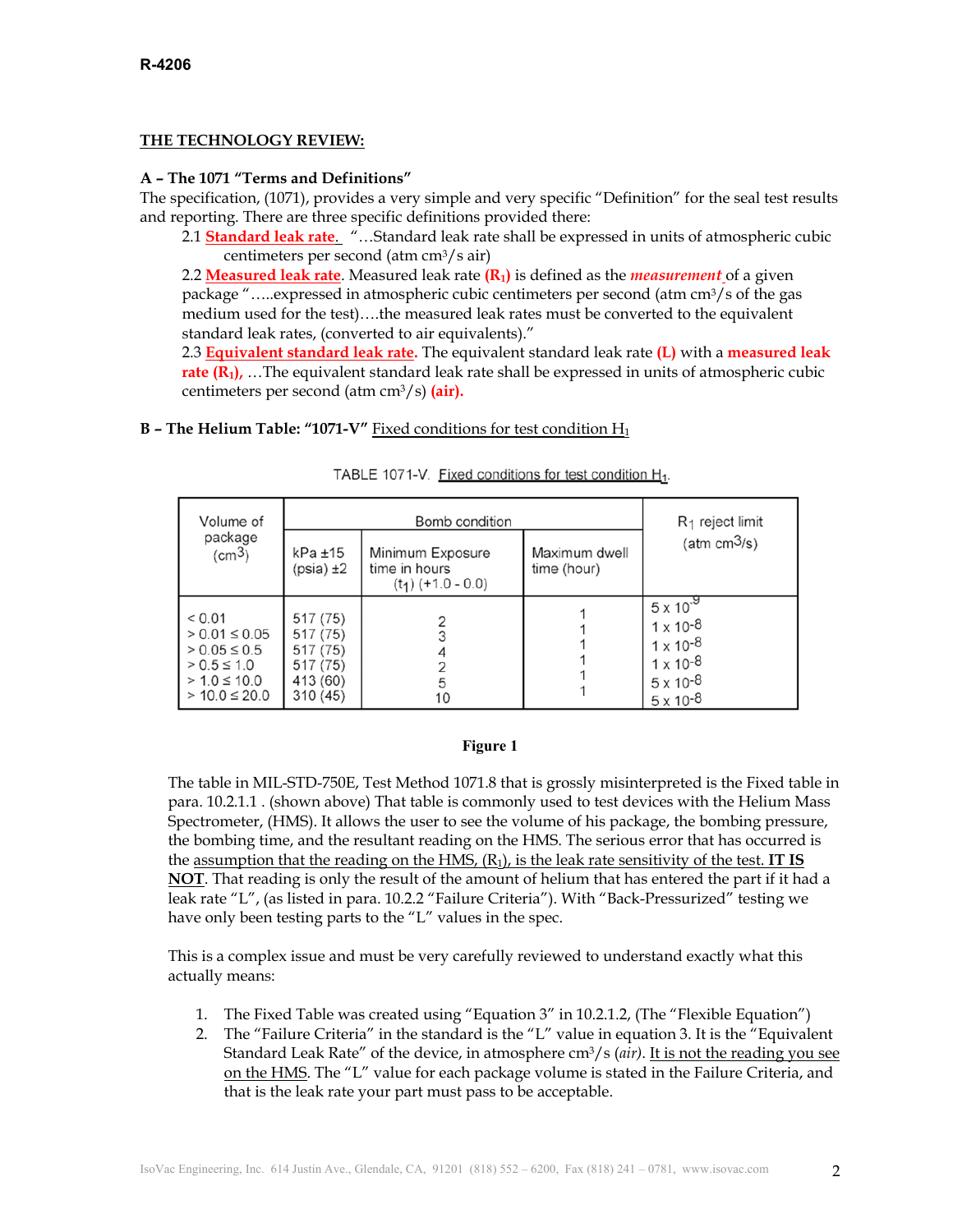# **THE TECHNOLOGY REVIEW:**

# **A – The 1071 "Terms and Definitions"**

The specification, (1071), provides a very simple and very specific "Definition" for the seal test results and reporting. There are three specific definitions provided there:

2.1 **Standard leak rate**. "…Standard leak rate shall be expressed in units of atmospheric cubic centimeters per second (atm cm3/s air)

 2.2 **Measured leak rate**. Measured leak rate **(R1)** is defined as the *measurement* of a given package ".....expressed in atmospheric cubic centimeters per second (atm cm<sup>3</sup>/s of the gas medium used for the test)….the measured leak rates must be converted to the equivalent standard leak rates, (converted to air equivalents)."

 2.3 **Equivalent standard leak rate.** The equivalent standard leak rate **(L)** with a **measured leak rate (R<sub>1</sub>), …The equivalent standard leak rate shall be expressed in units of atmospheric cubic** centimeters per second (atm cm3/s) **(air).** 

## **B - The Helium Table: "1071-V"** Fixed conditions for test condition H<sub>1</sub>

| Volume of                                                                                                   |                                                                      | Bomb condition                                            | R <sub>1</sub> reject limit  |                                                                                                                                  |
|-------------------------------------------------------------------------------------------------------------|----------------------------------------------------------------------|-----------------------------------------------------------|------------------------------|----------------------------------------------------------------------------------------------------------------------------------|
| package<br>(cm <sup>3</sup> )                                                                               | $kPa \pm 15$<br>$(psia) \pm 2$                                       | Minimum Exposure<br>time in hours<br>$(t_1)$ (+1.0 - 0.0) | Maximum dwell<br>time (hour) | (atm $cm^3/s$ )                                                                                                                  |
| < 0.01<br>$> 0.01 \le 0.05$<br>$> 0.05 \le 0.5$<br>$> 0.5 \le 1.0$<br>$> 1.0 \le 10.0$<br>$> 10.0 \le 20.0$ | 517 (75)<br>517 (75)<br>517 (75)<br>517 (75)<br>413 (60)<br>310 (45) | 10                                                        |                              | $5 \times 10^{-9}$<br>$1 \times 10^{-8}$<br>$1 \times 10^{-8}$<br>$1 \times 10^{-8}$<br>$5 \times 10^{-8}$<br>$5 \times 10^{-8}$ |

TABLE 1071-V. Fixed conditions for test condition H<sub>1</sub>.

## **Figure 1**

The table in MIL-STD-750E, Test Method 1071.8 that is grossly misinterpreted is the Fixed table in para. 10.2.1.1 . (shown above) That table is commonly used to test devices with the Helium Mass Spectrometer, (HMS). It allows the user to see the volume of his package, the bombing pressure, the bombing time, and the resultant reading on the HMS. The serious error that has occurred is the assumption that the reading on the HMS,  $(R_1)$ , is the leak rate sensitivity of the test. **IT IS NOT**. That reading is only the result of the amount of helium that has entered the part if it had a leak rate "L", (as listed in para. 10.2.2 "Failure Criteria"). With "Back-Pressurized" testing we have only been testing parts to the "L" values in the spec.

This is a complex issue and must be very carefully reviewed to understand exactly what this actually means:

- 1. The Fixed Table was created using "Equation 3" in 10.2.1.2, (The "Flexible Equation")
- 2. The "Failure Criteria" in the standard is the "L" value in equation 3. It is the "Equivalent Standard Leak Rate" of the device, in atmosphere cm3/s (*air)*. It is not the reading you see on the HMS. The "L" value for each package volume is stated in the Failure Criteria, and that is the leak rate your part must pass to be acceptable.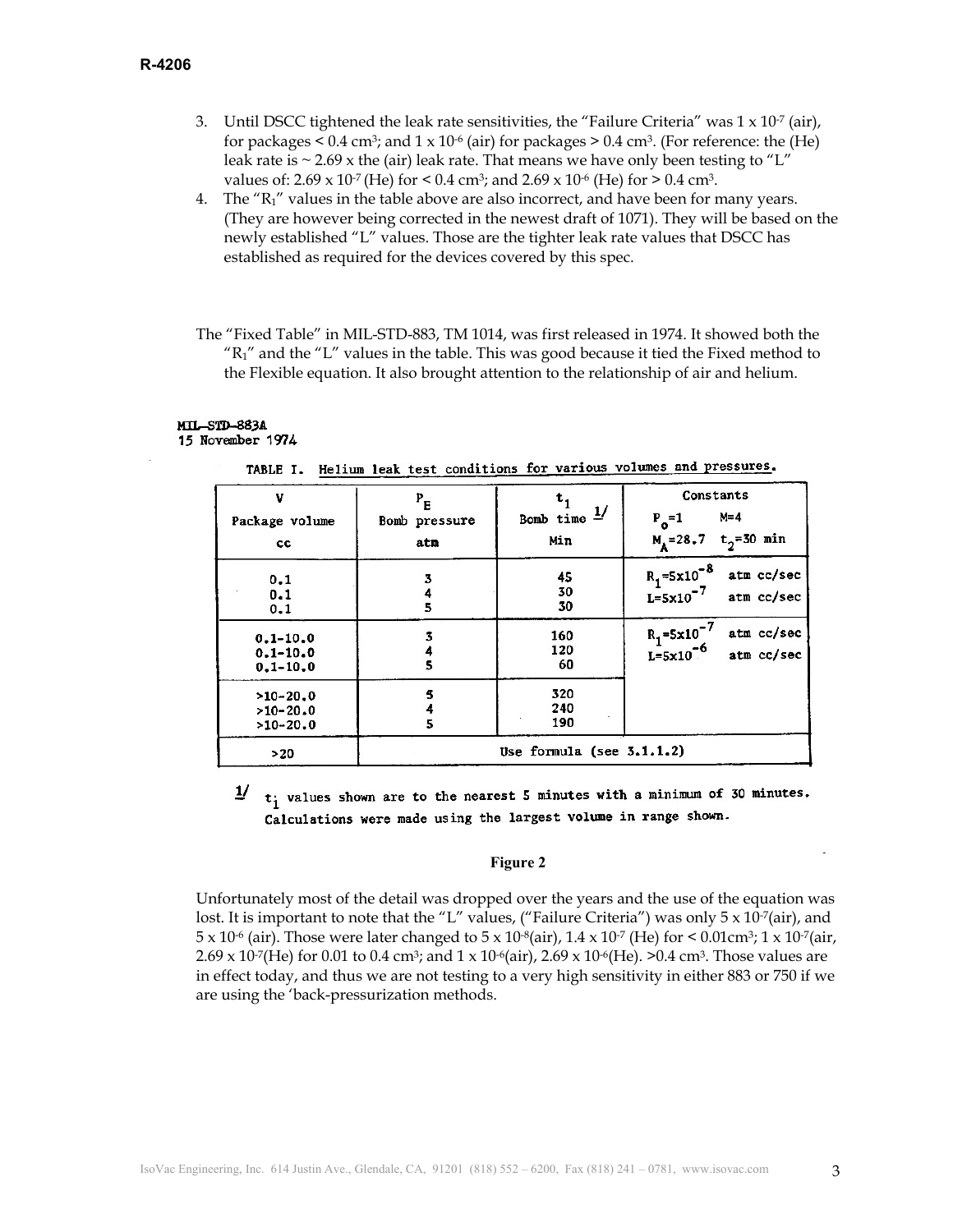- 3. Until DSCC tightened the leak rate sensitivities, the "Failure Criteria" was  $1 \times 10^{-7}$  (air), for packages  $\leq 0.4$  cm<sup>3</sup>; and  $1 \times 10^{-6}$  (air) for packages  $\geq 0.4$  cm<sup>3</sup>. (For reference: the (He) leak rate is  $\sim$  2.69 x the (air) leak rate. That means we have only been testing to "L" values of:  $2.69 \times 10^{-7}$  (He) for  $\le 0.4$  cm<sup>3</sup>; and  $2.69 \times 10^{-6}$  (He) for  $\ge 0.4$  cm<sup>3</sup>.
- 4. The  $R_1$ " values in the table above are also incorrect, and have been for many years. (They are however being corrected in the newest draft of 1071). They will be based on the newly established "L" values. Those are the tighter leak rate values that DSCC has established as required for the devices covered by this spec.
- The "Fixed Table" in MIL-STD-883, TM 1014, was first released in 1974. It showed both the  $R_1$ " and the "L" values in the table. This was good because it tied the Fixed method to the Flexible equation. It also brought attention to the relationship of air and helium.

#### **MTL-STD-883A** 15 November 1974

| v<br>Package volume<br>cc                    | $P_{E}$<br>Bomb pressure<br>atm | Bomb time $\frac{1}{ }$<br>Min | Constants<br>$M = 4$<br>$P_0=1$<br>$t_{2}$ =30 min<br>$M_A = 28.7$             |
|----------------------------------------------|---------------------------------|--------------------------------|--------------------------------------------------------------------------------|
| 0.1<br>0.1<br>0.1                            | 3<br>5                          | 45<br>30<br>30                 | $R_1 = 5 \times 10^{-8}$<br>atm cc/sec<br>$L=5\times10^{-7}$<br>atm cc/sec     |
| $0.1 - 10.0$<br>$0.1 - 10.0$<br>$0.1 - 10.0$ |                                 | 160<br>120<br>60               | $R_1 = 5 \times 10^{-7}$<br>atm cc/sec<br>$L = 5 \times 10^{-6}$<br>atm cc/sec |
| $>10-20.0$<br>$>10-20.0$<br>$>10-20.0$       | 5                               | 320<br>240<br>190              |                                                                                |
| >20                                          |                                 | Use formula (see $3.1.1.2$ )   |                                                                                |

t; values shown are to the nearest 5 minutes with a minimum of 30 minutes. Calculations were made using the largest volume in range shown.

#### **Figure 2**

Unfortunately most of the detail was dropped over the years and the use of the equation was lost. It is important to note that the "L" values, ("Failure Criteria") was only  $5 \times 10^{-7}$ (air), and  $5 \times 10^{-6}$  (air). Those were later changed to  $5 \times 10^{-8}$  (air),  $1.4 \times 10^{-7}$  (He) for  $\le 0.01$  cm<sup>3</sup>;  $1 \times 10^{-7}$  (air,  $2.69 \times 10^{-7}$  (He) for 0.01 to 0.4 cm<sup>3</sup>; and 1 x 10<sup>-6</sup>(air), 2.69 x 10<sup>-6</sup>(He). >0.4 cm<sup>3</sup>. Those values are in effect today, and thus we are not testing to a very high sensitivity in either 883 or 750 if we are using the 'back-pressurization methods.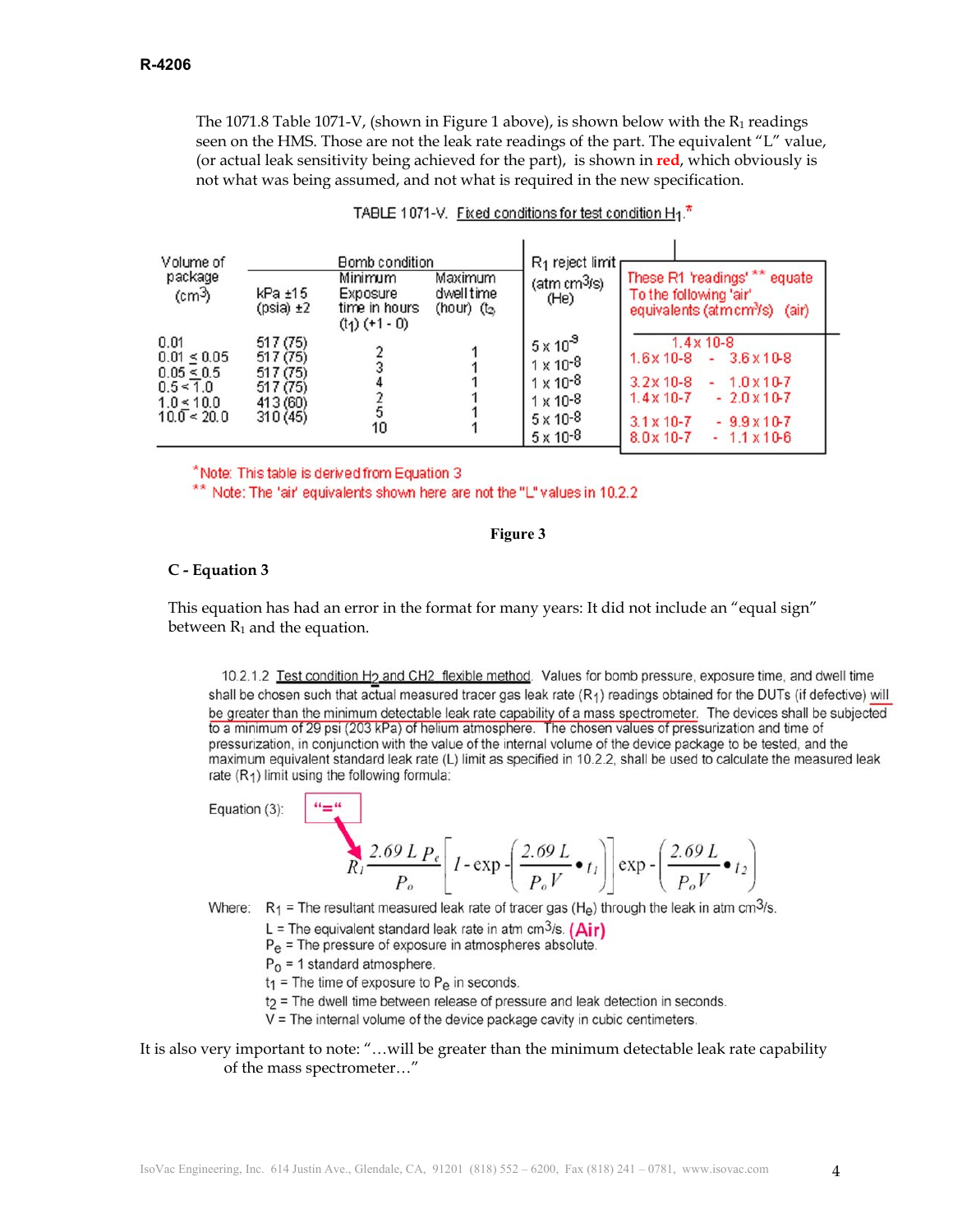The 1071.8 Table 1071-V, (shown in Figure 1 above), is shown below with the  $R_1$  readings seen on the HMS. Those are not the leak rate readings of the part. The equivalent "L" value, (or actual leak sensitivity being achieved for the part), is shown in **red**, which obviously is not what was being assumed, and not what is required in the new specification.

| Volume of<br>package<br>$\text{(cm3)}$                                                          | $kPa \pm 15$<br>$(psi) \pm 2$                                        | Bomb condition<br>Minimum<br>Exposure<br>time in hours<br>$(t_1)$ (+1 - 0) | Maximum<br>dwell time<br>(hour) $(t2)$ | $R_1$ reject limit<br>(atm cm <sup>3</sup> /s)<br>(He)                                                                        | These R1 'readings' **<br>equate<br>To the following 'air'<br>(air)<br>equivalents (atm cm <sup>3</sup> /s)                                                                                                                                           |
|-------------------------------------------------------------------------------------------------|----------------------------------------------------------------------|----------------------------------------------------------------------------|----------------------------------------|-------------------------------------------------------------------------------------------------------------------------------|-------------------------------------------------------------------------------------------------------------------------------------------------------------------------------------------------------------------------------------------------------|
| 0.01<br>$0.01 \le 0.05$<br>$0.05 \le 0.5$<br>$0.5 \le 1.0$<br>$1.0 \le 10.0$<br>$10.0 \le 20.0$ | 517 (75)<br>517 (75)<br>517 (75)<br>517 (75)<br>413 (60)<br>310 (45) | 5<br>10                                                                    |                                        | $5 \times 10^8$<br>$1 \times 10^{-8}$<br>$1 \times 10^{-8}$<br>$1 \times 10^{-8}$<br>$5 \times 10^{-8}$<br>$5 \times 10^{-8}$ | $1.4 \times 10 - 8$<br>$1.6x10-8$<br>$3.6 \times 10 - 8$<br>٠<br>$3.2 \times 10 - 8$<br>$1.0 \times 10 - 7$<br>$1.4 \times 10 - 7$<br>$-2.0 \times 10-7$<br>$3.1 \times 10 - 7$<br>$-9.9 \times 10-7$<br>$8.0 \times 10 - 7$<br>$-1.1 \times 10^{-6}$ |

| TABLE 1071-V. Fixed conditions for test condition H <sub>1</sub> . |  |
|--------------------------------------------------------------------|--|
|                                                                    |  |

\*Note: This table is derived from Equation 3

\*\* Note: The 'air' equivalents shown here are not the "L" values in 10.2.2

### **Figure 3**

### **C - Equation 3**

This equation has had an error in the format for many years: It did not include an "equal sign" between  $R_1$  and the equation.

10.2.1.2 Test condition H<sub>2</sub> and CH2 flexible method. Values for bomb pressure, exposure time, and dwell time shall be chosen such that actual measured tracer gas leak rate (R1) readings obtained for the DUTs (if defective) will be greater than the minimum detectable leak rate capability of a mass spectrometer. The devices shall be subjected to a minimum of 29 psi (203 kPa) of helium atmosphere. The chosen values of pressurization and time of pressurization, in conjunction with the value of the internal volume of the device package to be tested, and the maximum equivalent standard leak rate (L) limit as specified in 10.2.2, shall be used to calculate the measured leak rate  $(R_1)$  limit using the following formula:

Equation (3):

$$
R_{I} \frac{2.69 L P_e}{P_o} \left[ I - \exp\left\{ \frac{2.69 L}{P_o V} \cdot t_I \right\} \right] \exp\left\{ \frac{2.69 L}{P_o V} \cdot t_2 \right\}
$$

Where:  $R_1$  = The resultant measured leak rate of tracer gas (H<sub>e</sub>) through the leak in atm cm<sup>3</sup>/s.

- L = The equivalent standard leak rate in atm cm<sup>3</sup>/s.  $(Air)$
- $P_{\theta}$  = The pressure of exposure in atmospheres absolute.
- $P_0$  = 1 standard atmosphere.

 $......$ 

- $t_1$  = The time of exposure to P<sub>e</sub> in seconds.
- t<sub>2</sub> = The dwell time between release of pressure and leak detection in seconds.
- $V =$  The internal volume of the device package cavity in cubic centimeters.

## It is also very important to note: "…will be greater than the minimum detectable leak rate capability of the mass spectrometer…"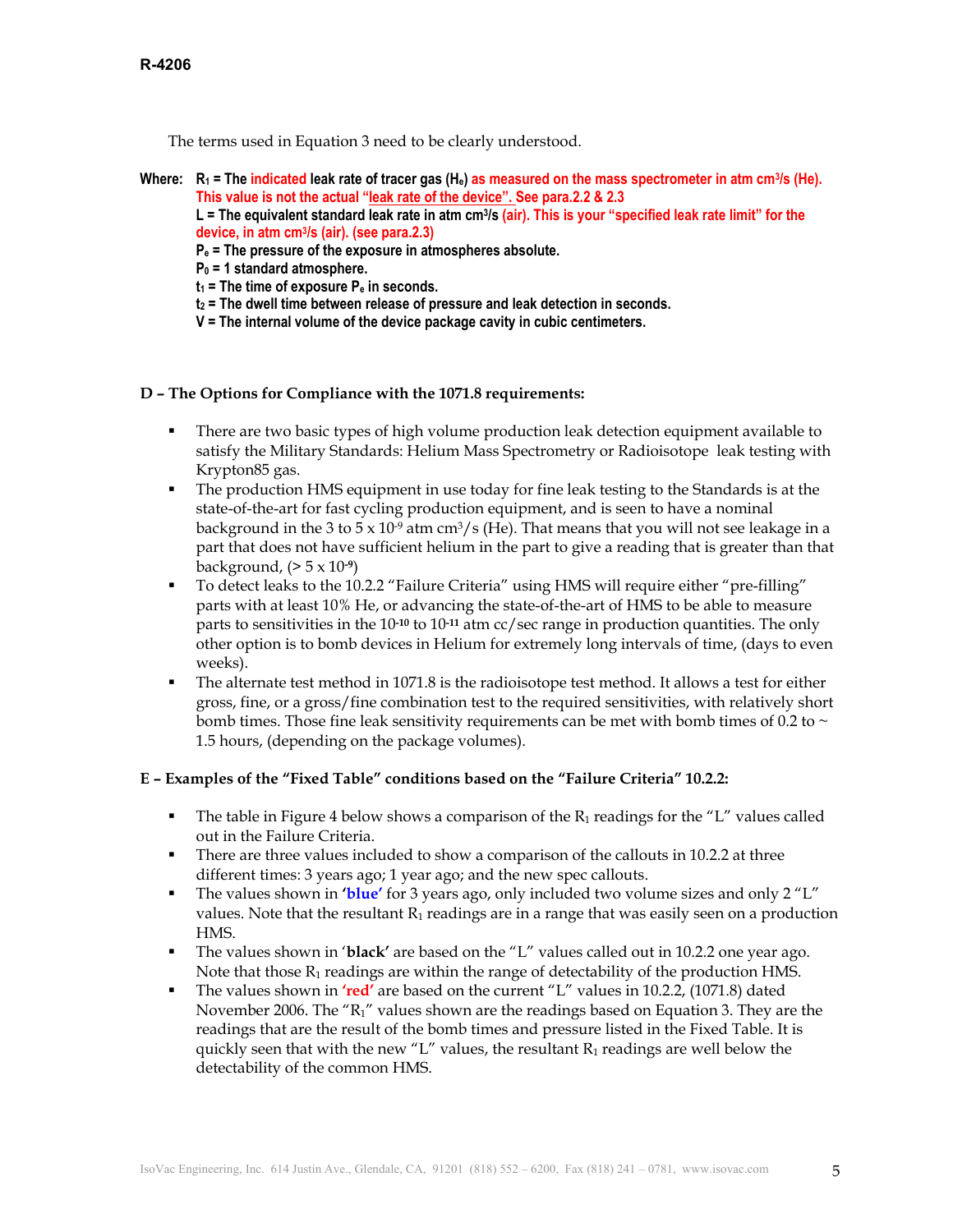The terms used in Equation 3 need to be clearly understood.

Where:  $R_1$  = The indicated leak rate of tracer gas  $(H_e)$  as measured on the mass spectrometer in atm cm<sup>3</sup>/s (He). **This value is not the actual "leak rate of the device". See para.2.2 & 2.3** 

L = The equivalent standard leak rate in atm cm<sup>3</sup>/s (air). This is your "specified leak rate limit" for the **device, in atm cm3/s (air). (see para.2.3)** 

- **Pe = The pressure of the exposure in atmospheres absolute.**
- **P0 = 1 standard atmosphere.**
- $t_1$  = The time of exposure  $P_e$  in seconds.
- **t2 = The dwell time between release of pressure and leak detection in seconds.**
- **V = The internal volume of the device package cavity in cubic centimeters.**

## **D – The Options for Compliance with the 1071.8 requirements:**

- There are two basic types of high volume production leak detection equipment available to satisfy the Military Standards: Helium Mass Spectrometry or Radioisotope leak testing with Krypton85 gas.
- The production HMS equipment in use today for fine leak testing to the Standards is at the state-of-the-art for fast cycling production equipment, and is seen to have a nominal background in the 3 to 5 x 10<sup>-9</sup> atm cm<sup>3</sup>/s (He). That means that you will not see leakage in a part that does not have sufficient helium in the part to give a reading that is greater than that background, (> 5 x 10**-9**)
- To detect leaks to the 10.2.2 "Failure Criteria" using HMS will require either "pre-filling" parts with at least 10% He, or advancing the state-of-the-art of HMS to be able to measure parts to sensitivities in the 10**-10** to 10**-11** atm cc/sec range in production quantities. The only other option is to bomb devices in Helium for extremely long intervals of time, (days to even weeks).
- The alternate test method in 1071.8 is the radioisotope test method. It allows a test for either gross, fine, or a gross/fine combination test to the required sensitivities, with relatively short bomb times. Those fine leak sensitivity requirements can be met with bomb times of 0.2 to  $\sim$ 1.5 hours, (depending on the package volumes).

# **E – Examples of the "Fixed Table" conditions based on the "Failure Criteria" 10.2.2:**

- The table in Figure 4 below shows a comparison of the  $R_1$  readings for the "L" values called out in the Failure Criteria.
- There are three values included to show a comparison of the callouts in 10.2.2 at three different times: 3 years ago; 1 year ago; and the new spec callouts.
- The values shown in **'blue'** for 3 years ago, only included two volume sizes and only 2 "L" values. Note that the resultant  $R_1$  readings are in a range that was easily seen on a production HMS.
- The values shown in '**black'** are based on the "L" values called out in 10.2.2 one year ago. Note that those  $R_1$  readings are within the range of detectability of the production HMS.
- The values shown in **'red'** are based on the current "L" values in 10.2.2, (1071.8) dated November 2006. The "R1" values shown are the readings based on Equation 3. They are the readings that are the result of the bomb times and pressure listed in the Fixed Table. It is quickly seen that with the new "L" values, the resultant  $R_1$  readings are well below the detectability of the common HMS.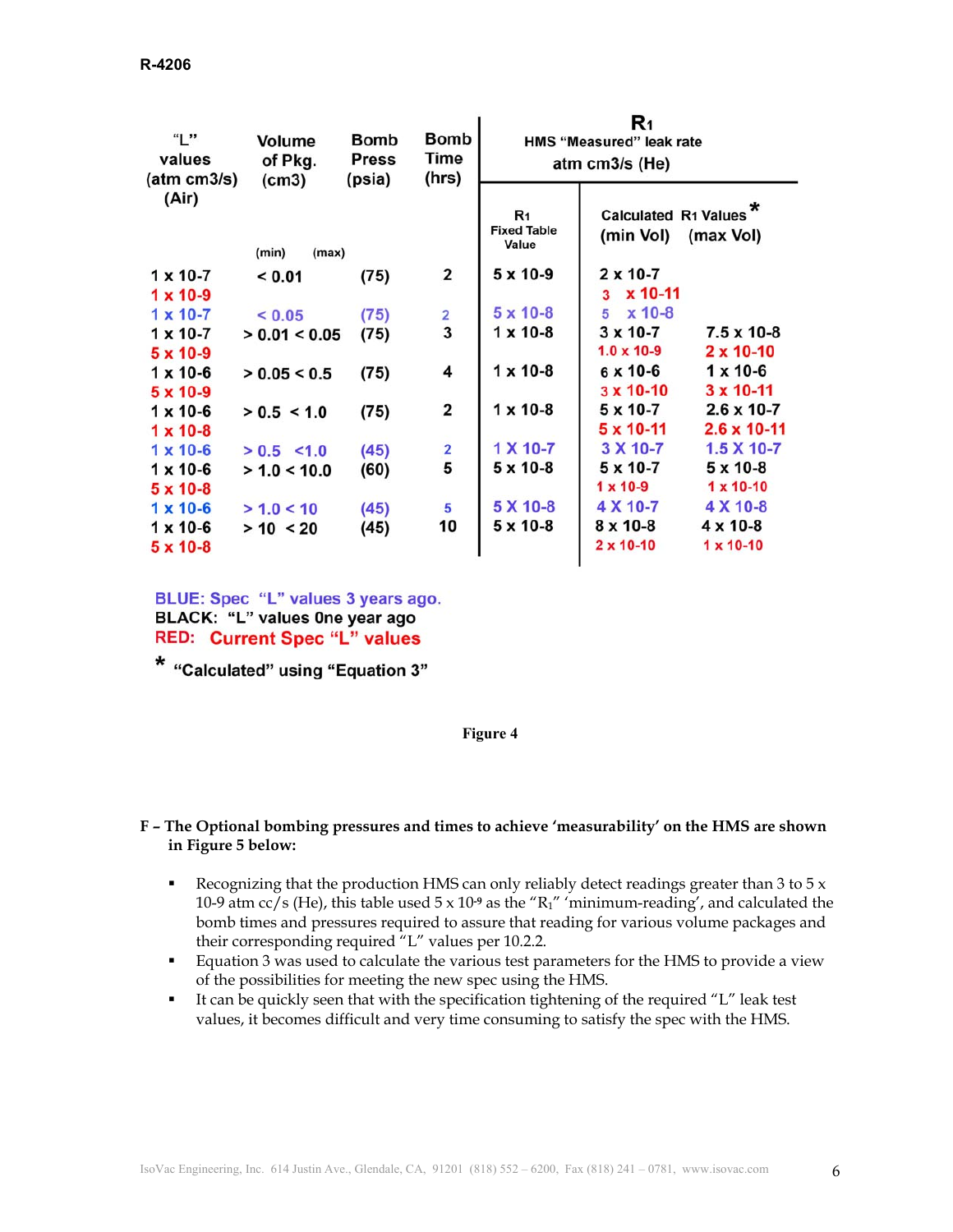| "L"<br>values<br>(atm cm3/s)                                | Volume<br>of Pkg.<br>(cm3)   | <b>Bomb</b><br><b>Press</b><br>(psia) | Bomb<br>Time<br>(hrs)   | R1<br>HMS "Measured" leak rate<br>atm cm3/s (He) |                                                           |                                                           |
|-------------------------------------------------------------|------------------------------|---------------------------------------|-------------------------|--------------------------------------------------|-----------------------------------------------------------|-----------------------------------------------------------|
| (Air)                                                       | (min)<br>(max)               |                                       |                         | R <sub>1</sub><br><b>Fixed Table</b><br>Value    | Calculated R1 Values <sup>*</sup><br>(min Vol)            | (max Vol)                                                 |
| $1 \times 10 - 7$<br>$1 \times 10 - 9$                      | < 0.01                       | (75)                                  | $\overline{\mathbf{2}}$ | $5 \times 10 - 9$                                | $2 \times 10 - 7$<br>x 10-11<br>3                         |                                                           |
| $1 \times 10 - 7$<br>$1 \times 10 - 7$<br>$5 \times 10 - 9$ | < 0.05<br>> 0.01 < 0.05      | (75)<br>(75)                          | 2<br>3                  | $5 \times 10 - 8$<br>$1 \times 10 - 8$           | $x$ 10-8<br>5<br>$3 \times 10 - 7$<br>$1.0 \times 10 - 9$ | $7.5 \times 10-8$<br>$2 \times 10 - 10$                   |
| $1 \times 10 - 6$<br>$5 \times 10 - 9$                      | > 0.05 < 0.5                 | (75)                                  | 4                       | $1 \times 10 - 8$                                | 6 x 10-6<br>$3 \times 10 - 10$                            | $1 \times 10 - 6$<br>$3 \times 10 - 11$                   |
| $1 \times 10 - 6$<br>$1 \times 10 - 8$<br>$1 \times 10 - 6$ | > 0.5 < 1.0<br>$> 0.5$ < 1.0 | (75)<br>(45)                          | $\overline{\mathbf{2}}$ | $1 \times 10 - 8$<br>1 X 10-7                    | 5 x 10-7<br>$5 \times 10 - 11$<br>3 X 10-7                | $2.6 \times 10 - 7$<br>$2.6 \times 10 - 11$<br>1.5 X 10-7 |
| $1 \times 10 - 6$<br>$5 \times 10 - 8$                      | > 1.0 < 10.0                 | (60)                                  | $\frac{2}{5}$           | $5 \times 10 - 8$                                | $5 \times 10 - 7$<br>$1 \times 10 - 9$                    | $5 \times 10 - 8$<br>$1 \times 10 - 10$                   |
| $1 \times 10 - 6$<br>$1 \times 10 - 6$<br>$5 \times 10 - 8$ | > 1.0 < 10<br>> 10 < 20      | (45)<br>(45)                          | 5<br>10                 | 5 X 10-8<br>$5 \times 10 - 8$                    | 4 X 10-7<br>$8 \times 10 - 8$<br>$2 \times 10 - 10$       | 4 X 10-8<br>$4 \times 10 - 8$<br>$1 \times 10 - 10$       |

BLUE: Spec "L" values 3 years ago. BLACK: "L" values One year ago **RED: Current Spec "L" values** 

\* "Calculated" using "Equation 3"

### **Figure 4**

## **F – The Optional bombing pressures and times to achieve 'measurability' on the HMS are shown in Figure 5 below:**

- Recognizing that the production HMS can only reliably detect readings greater than 3 to  $5x$ 10-9 atm cc/s (He), this table used 5 x 10**-9** as the "R1" 'minimum-reading', and calculated the bomb times and pressures required to assure that reading for various volume packages and their corresponding required "L" values per 10.2.2.
- **Equation 3 was used to calculate the various test parameters for the HMS to provide a view** of the possibilities for meeting the new spec using the HMS.
- It can be quickly seen that with the specification tightening of the required "L" leak test values, it becomes difficult and very time consuming to satisfy the spec with the HMS.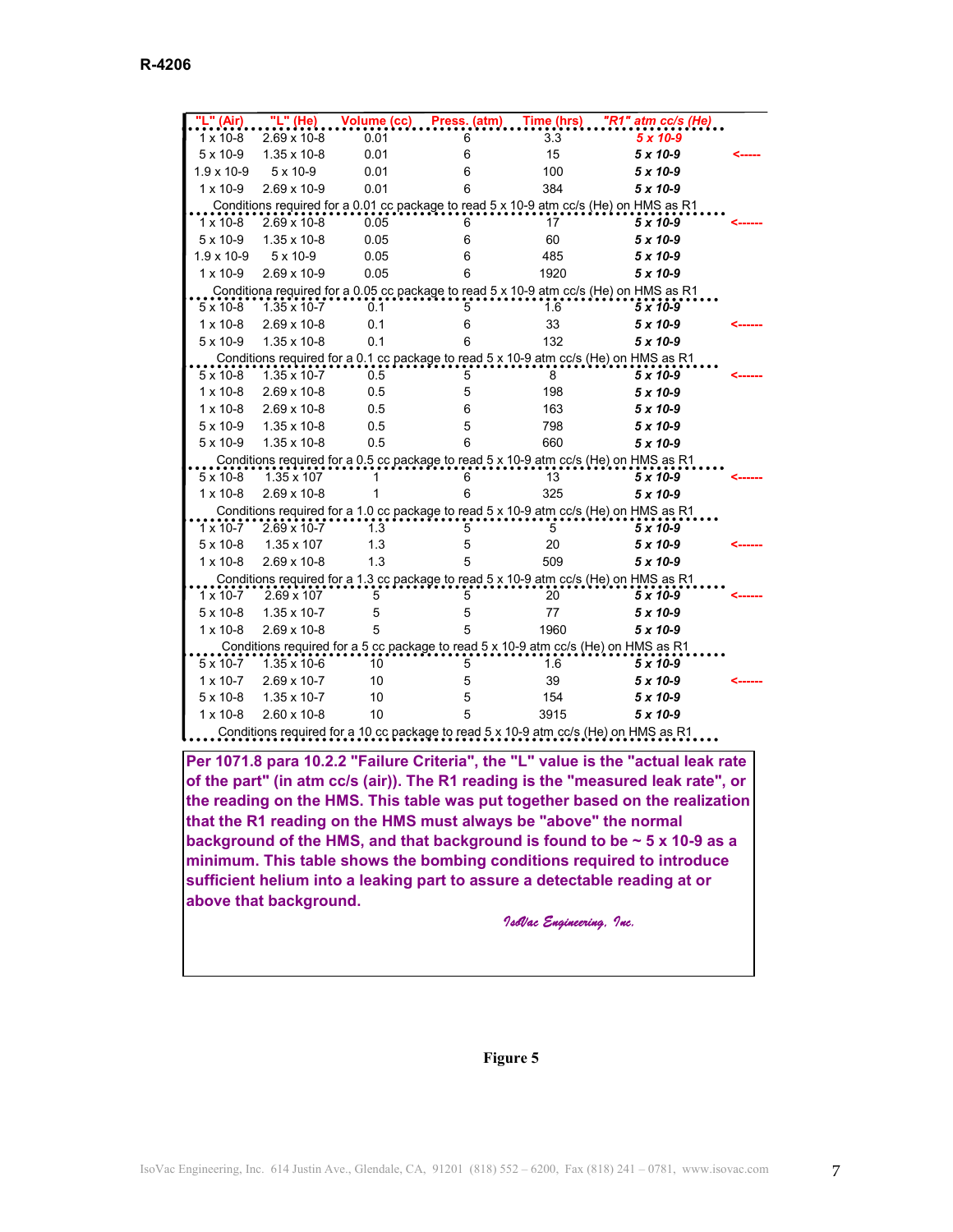| ." (Air)            | "L" (He) <sub>-</sub> |      |   |      | Volume (cc) Press. (atm) Time (hrs) "R1" atm cc/s (He)                                |  |
|---------------------|-----------------------|------|---|------|---------------------------------------------------------------------------------------|--|
| $1 \times 10 - 8$   | 2.69 x 10-8           | 0.01 | 6 | 3.3  | 5 x 10-9                                                                              |  |
| $5 \times 10 - 9$   | 1.35 x 10-8           | 0.01 | 6 | 15   | $5 \times 10 - 9$                                                                     |  |
| $1.9 \times 10 - 9$ | 5 x 10-9              | 0.01 | 6 | 100  | $5 \times 10 - 9$                                                                     |  |
| $1 \times 10 - 9$   | 2.69 x 10-9           | 0.01 | 6 | 384  | $5 \times 10 - 9$                                                                     |  |
|                     |                       |      |   |      | Conditions required for a 0.01 cc package to read 5 x 10-9 atm cc/s (He) on HMS as R1 |  |
| $1 \times 10 - 8$   | 2.69 x 10-8           | 0.05 | 6 | 17   | $5 \times 10 - 9$                                                                     |  |
| $5 \times 10-9$     | 1.35 x 10-8           | 0.05 | 6 | 60   | $5 \times 10 - 9$                                                                     |  |
| $1.9 \times 10 - 9$ | 5 x 10-9              | 0.05 | 6 | 485  | $5 \times 10 - 9$                                                                     |  |
| $1 \times 10 - 9$   | 2.69 x 10-9           | 0.05 | 6 | 1920 | $5 \times 10-9$                                                                       |  |
|                     |                       |      |   |      | Conditiona required for a 0.05 cc package to read 5 x 10-9 atm cc/s (He) on HMS as R1 |  |
| $5 \times 10 - 8$   | $1.35 \times 10 - 7$  | 0.1  | 5 | 1.6  | $5 \times 10 - 9$                                                                     |  |
| $1 \times 10 - 8$   | 2.69 x 10-8           | 0.1  | 6 | 33   | $5 \times 10 - 9$                                                                     |  |
| $5 \times 10-9$     | $1.35 \times 10 - 8$  | 0.1  | 6 | 132  | $5 \times 10 - 9$                                                                     |  |
|                     |                       |      |   |      | Conditions required for a 0.1 cc package to read 5 x 10-9 atm cc/s (He) on HMS as R1  |  |
| $5 \times 10 - 8$   | $1.35 \times 10 - 7$  | 0.5  | 5 | 8    | $5 \times 10 - 9$                                                                     |  |
| $1 \times 10 - 8$   | 2.69 x 10-8           | 0.5  | 5 | 198  | $5 \times 10 - 9$                                                                     |  |
| $1 \times 10 - 8$   | $2.69 \times 10 - 8$  | 0.5  | 6 | 163  | $5 \times 10 - 9$                                                                     |  |
| $5 \times 10-9$     | 1.35 x 10-8           | 0.5  | 5 | 798  | $5 \times 10 - 9$                                                                     |  |
| 5 x 10-9            | 1.35 x 10-8           | 0.5  | 6 | 660  | $5 \times 10 - 9$                                                                     |  |
|                     |                       |      |   |      | Conditions required for a 0.5 cc package to read 5 x 10-9 atm cc/s (He) on HMS as R1  |  |
| $5 \times 10 - 8$   | $1.35 \times 107$     |      | 6 | 13   | $5 \times 10 - 9$                                                                     |  |
| $1 \times 10 - 8$   | 2.69 x 10-8           | 1    | 6 | 325  | $5 \times 10 - 9$                                                                     |  |
|                     |                       |      |   |      | Conditions required for a 1.0 cc package to read 5 x 10-9 atm cc/s (He) on HMS as R1  |  |
| $1 \times 10 - 7$   | 2.69 x 10-7           | 1.3  | 5 | 5    | $5 \times 10 - 9$                                                                     |  |
| $5 \times 10 - 8$   | 1.35 x 107            | 1.3  | 5 | 20   | $5 \times 10 - 9$                                                                     |  |
| $1 \times 10 - 8$   | 2.69 x 10-8           | 1.3  | 5 | 509  | $5 \times 10 - 9$                                                                     |  |
|                     |                       |      |   |      | Conditions required for a 1.3 cc package to read 5 x 10-9 atm cc/s (He) on HMS as R1  |  |
| $1 \times 10 - 7$   | $2.69 \times 107$     | 5    | 5 | 20   | $5 \times 10 - 9$                                                                     |  |
| $5 \times 10 - 8$   | $1.35 \times 10 - 7$  | 5    | 5 | 77   | $5 \times 10 - 9$                                                                     |  |
| $1 \times 10 - 8$   | 2.69 x 10-8           | 5    | 5 | 1960 | $5 \times 10 - 9$                                                                     |  |
|                     |                       |      |   |      | Conditions required for a 5 cc package to read 5 x 10-9 atm cc/s (He) on HMS as R1    |  |
| $5 \times 10 - 7$   | $1.35 \times 10 - 6$  | 10   | 5 | 1.6  | $5 \times 10 - 9$                                                                     |  |
| $1 \times 10 - 7$   | 2.69 x 10-7           | 10   | 5 | 39   | $5 \times 10 - 9$                                                                     |  |
| $5 \times 10 - 8$   | $1.35 \times 10 - 7$  | 10   | 5 | 154  | $5 \times 10 - 9$                                                                     |  |
| $1 \times 10 - 8$   | $2.60 \times 10 - 8$  | 10   | 5 | 3915 | $5 \times 10 - 9$                                                                     |  |
|                     |                       |      |   |      | Conditions required for a 10 cc package to read 5 x 10-9 atm cc/s (He) on HMS as R1   |  |

**Per 1071.8 para 10.2.2 "Failure Criteria", the "L" value is the "actual leak rate of the part" (in atm cc/s (air)). The R1 reading is the "measured leak rate", or the reading on the HMS. This table was put together based on the realization that the R1 reading on the HMS must always be "above" the normal background of the HMS, and that background is found to be ~ 5 x 10-9 as a minimum. This table shows the bombing conditions required to introduce sufficient helium into a leaking part to assure a detectable reading at or above that background.** 

*IsoVac Engineering, Inc.*

### **Figure 5**